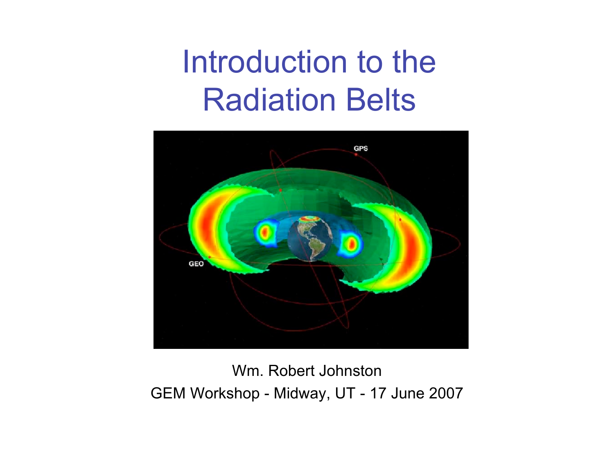#### Introduction to the Radiation Belts



Wm. Robert Johnston GEM Workshop - Midway, UT - 17 June 2007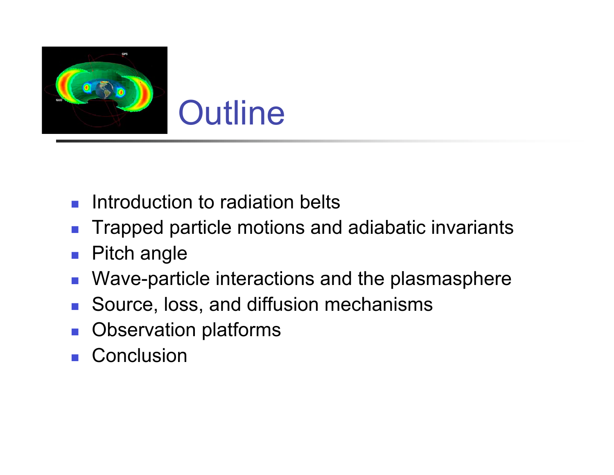

- Introduction to radiation belts
- Trapped particle motions and adiabatic invariants
- **Pitch angle**
- Wave-particle interactions and the plasmasphere
- Source, loss, and diffusion mechanisms
- Observation platforms
- **Conclusion**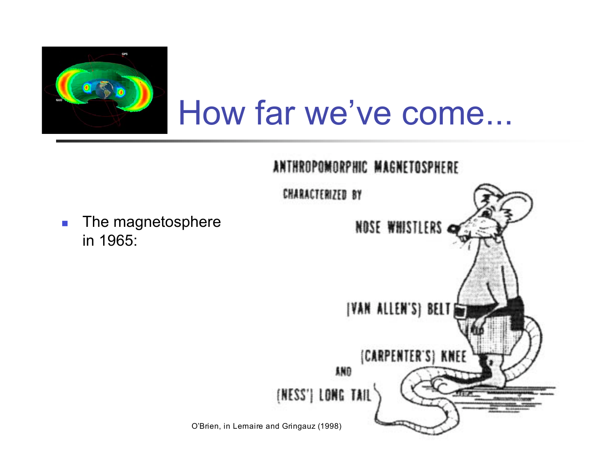

#### How far we've come...



**The magnetosphere** in 1965: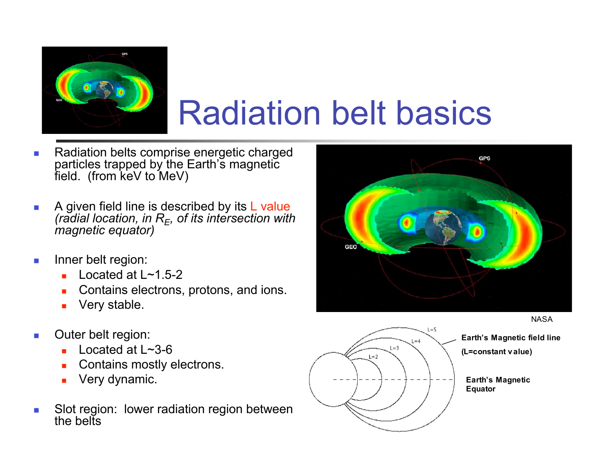

## Radiation belt basics

- Radiation belts comprise energetic charged particles trapped by the Earth's magnetic field. (from keV to MeV)
- A given field line is described by its L value *(radial location, in RE, of its intersection with magnetic equator)*
- **Inner belt region:** 
	- Located at  $L \sim 1.5 2$
	- **Contains electrons, protons, and ions.**
	- **very stable.**
- **Outer belt region:** 
	- Located at  $L \sim 3-6$
	- **Contains mostly electrons.**
	- **Very dynamic.**
- Slot region: lower radiation region between the belts







**Earth's Magnetic**

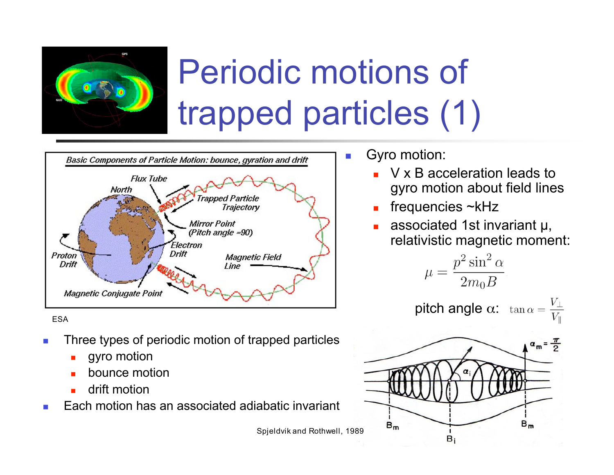

## Periodic motions of trapped particles (1)



ESA

- Three types of periodic motion of trapped particles
	- gyro motion
	- bounce motion
	- drift motion
- Each motion has an associated adiabatic invariant

■ Gyro motion:

- V x B acceleration leads to gyro motion about field lines
- frequencies ~kHz
- associated 1st invariant µ, relativistic magnetic moment:

$$
\mu = \frac{p^2 \sin^2 \alpha}{2m_0 B}
$$

**pitch angle α:**  $tan α = \frac{V_{\perp}}{V_{\parallel}}$ 



Spjeldvik and Rothwell, 1989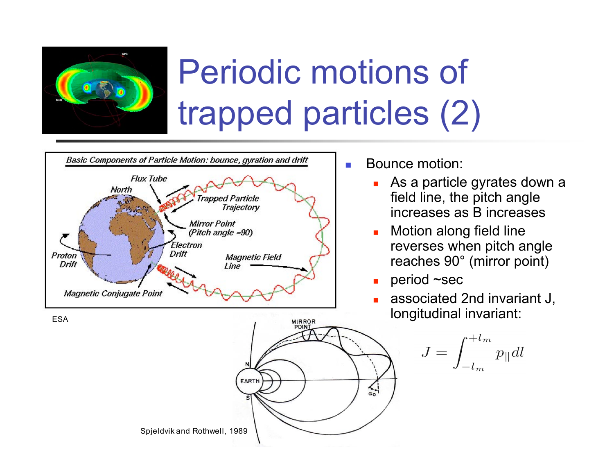

## Periodic motions of trapped particles (2)



ESA



- **Bounce motion:** 
	- As a particle gyrates down a field line, the pitch angle increases as B increases
	- **Notion along field line** reverses when pitch angle reaches 90° (mirror point)
	- period ~sec
	- associated 2nd invariant J, longitudinal invariant:

$$
J=\int_{-l_m}^{+l_m} p_{\parallel} dl
$$

Spjeldvik and Rothwell, 1989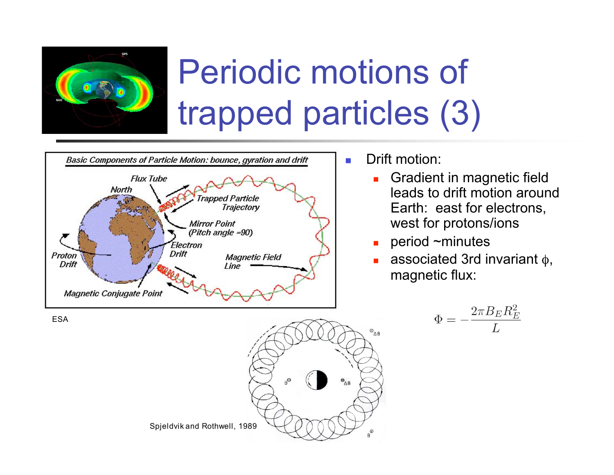

## Periodic motions of trapped particles (3)



**Drift motion:** 

- **Gradient in magnetic field** leads to drift motion around Earth: east for electrons, west for protons/ions
- $\blacksquare$  period ~minutes
- associated 3rd invariant  $\phi$ , magnetic flux:

$$
\Phi=-\frac{2\pi B_E R_E^2}{L}
$$





ESA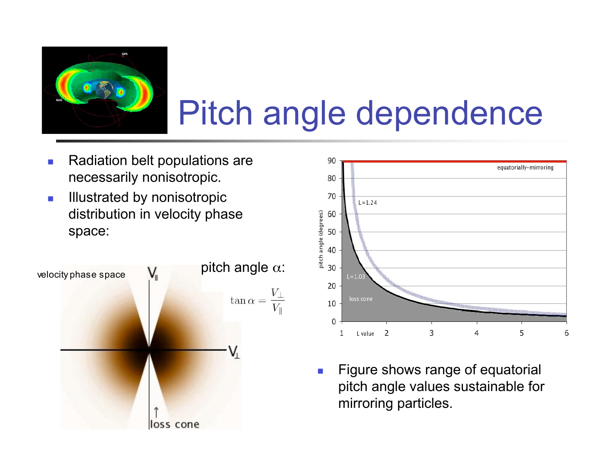

## Pitch angle dependence

- Radiation belt populations are necessarily nonisotropic.
- **Illustrated by nonisotropic** distribution in velocity phase space:





**Figure shows range of equatorial** pitch angle values sustainable for mirroring particles.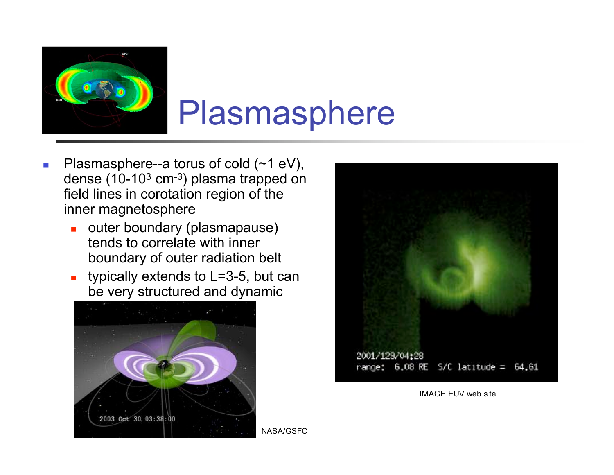

#### Plasmasphere

- **Plasmasphere--a torus of cold**  $(\sim 1 \text{ eV})$ **,** dense  $(10-10^3 \text{ cm}^{-3})$  plasma trapped on field lines in corotation region of the inner magnetosphere
	- outer boundary (plasmapause) tends to correlate with inner boundary of outer radiation belt
	- typically extends to  $L=3-5$ , but can be very structured and dynamic





IMAGE EUV web site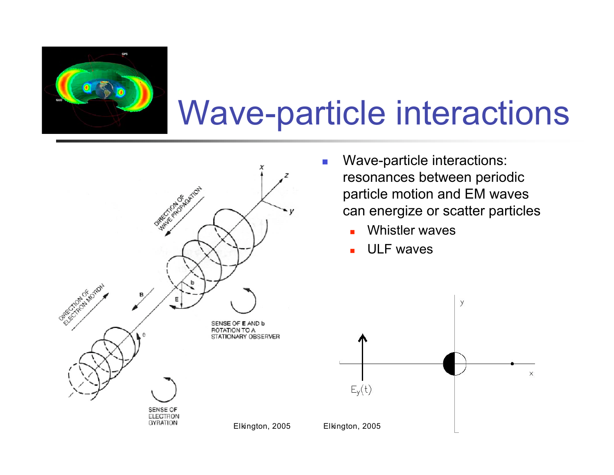

#### Wave-particle interactions



- **Nave-particle interactions:** resonances between periodic particle motion and EM waves can energize or scatter particles
	- **Number** Waves
	- ULF waves

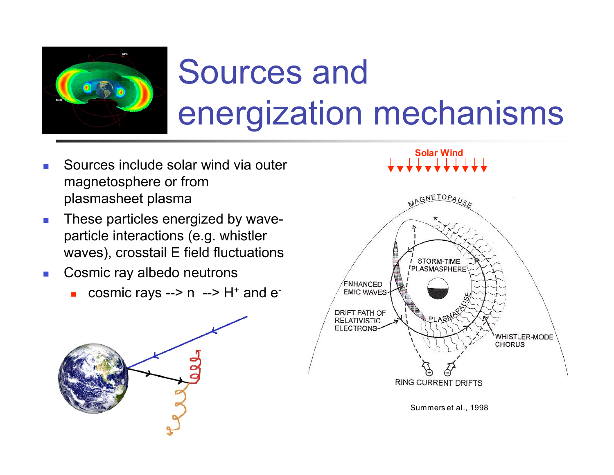

# Sources and energization mechanisms

- Sources include solar wind via outer magnetosphere or from plasmasheet plasma
- **These particles energized by wave**particle interactions (e.g. whistler waves), crosstail E field fluctuations
- **Cosmic ray albedo neutrons** 
	- cosmic rays -->  $n$  -->  $H<sup>+</sup>$  and  $e<sup>-</sup>$



**Solar Wind**



Summers et al., 1998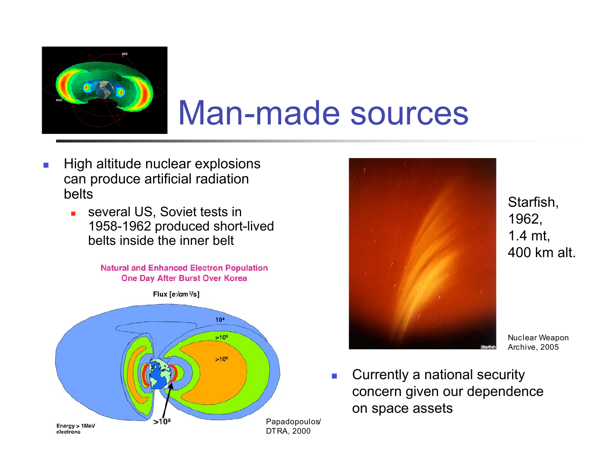

#### Man-made sources

- **High altitude nuclear explosions** can produce artificial radiation belts
	- **several US, Soviet tests in** 1958-1962 produced short-lived belts inside the inner belt







Starfish, 1962, 1.4 mt, 400 km alt.

Nuclear Weapon Archive, 2005

**Currently a national security** concern given our dependence on space assets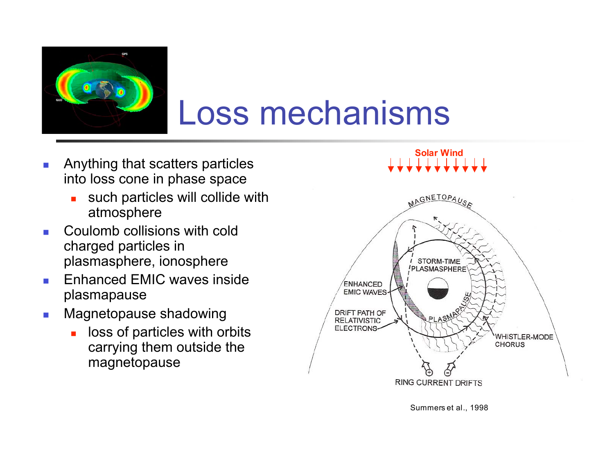

#### Loss mechanisms

- **Anything that scatters particles** into loss cone in phase space
	- such particles will collide with atmosphere
- **Coulomb collisions with cold** charged particles in plasmasphere, ionosphere
- **Enhanced EMIC waves inside** plasmapause
- **Magnetopause shadowing** 
	- loss of particles with orbits carrying them outside the magnetopause

**Solar Wind**



Summers et al., 1998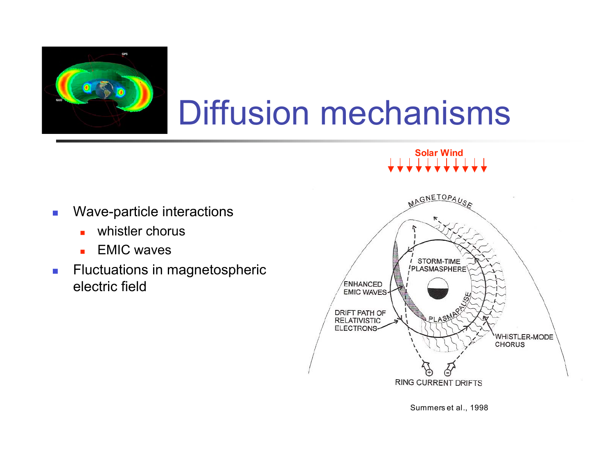

## Diffusion mechanisms

#### **Solar Wind**

- **Nave-particle interactions** 
	- **No. 3** whistler chorus
	- **EMIC** waves
- **Fluctuations in magnetospheric** electric field



Summers et al., 1998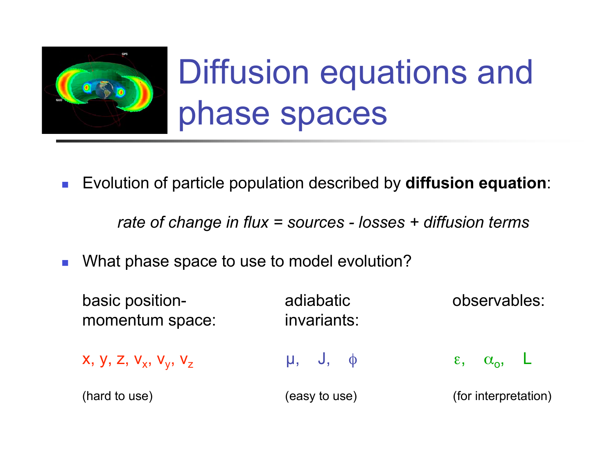

# Diffusion equations and phase spaces

Evolution of particle population described by **diffusion equation**:

*rate of change in flux = sources - losses + diffusion terms*

What phase space to use to model evolution?

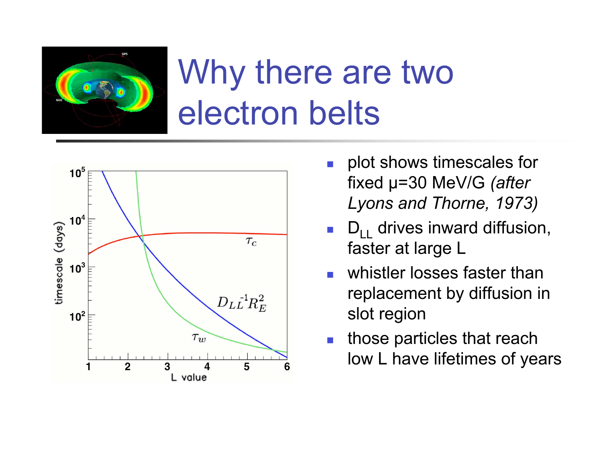

## Why there are two electron belts



- plot shows timescales for fixed µ=30 MeV/G *(after Lyons and Thorne, 1973)*
- $D_{11}$  drives inward diffusion, faster at large L
- whistler losses faster than replacement by diffusion in slot region
- those particles that reach low L have lifetimes of years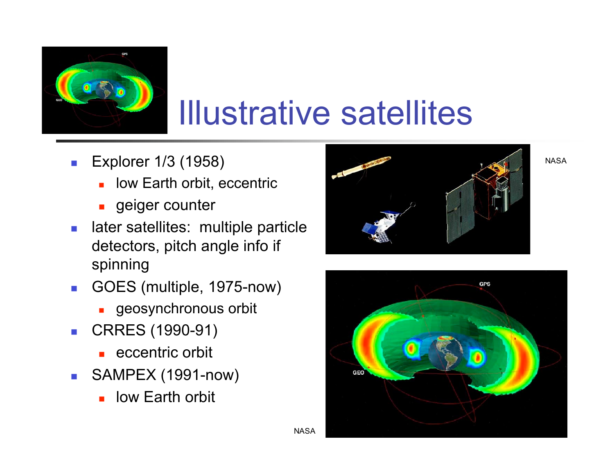

### Illustrative satellites

**NASA** 

- **Explorer 1/3 (1958)** 
	- low Earth orbit, eccentric
	- **geiger counter**
- **later satellites: multiple particle** detectors, pitch angle info if spinning
- GOES (multiple, 1975-now)
	- **geosynchronous orbit**
- CRRES (1990-91)
	- $\blacksquare$  eccentric orbit
- SAMPEX (1991-now)
	- **L** low Earth orbit





NASA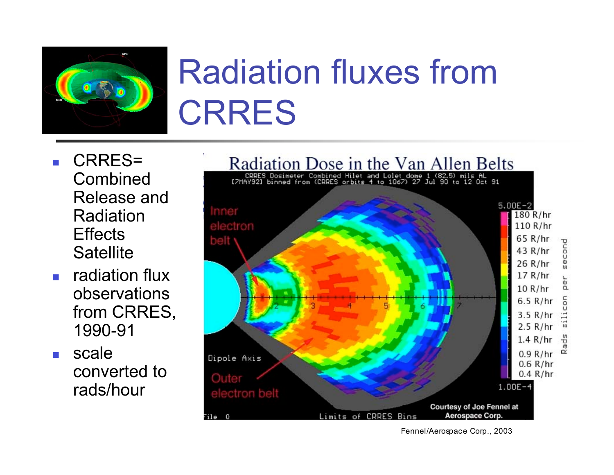

## Radiation fluxes from CRRES

- CRRES= Combined Release and Radiation **Effects Satellite**
- $\blacksquare$  radiation flux observations from CRRES, 1990-91
- scale converted to rads/hour



Fennel/Aerospace Corp., 2003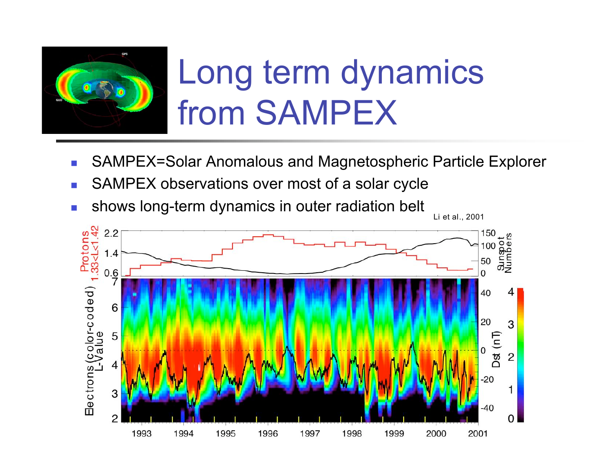

## Long term dynamics from SAMPEX

- SAMPEX=Solar Anomalous and Magnetospheric Particle Explorer
- SAMPEX observations over most of a solar cycle
- **shows long-term dynamics in outer radiation belt**

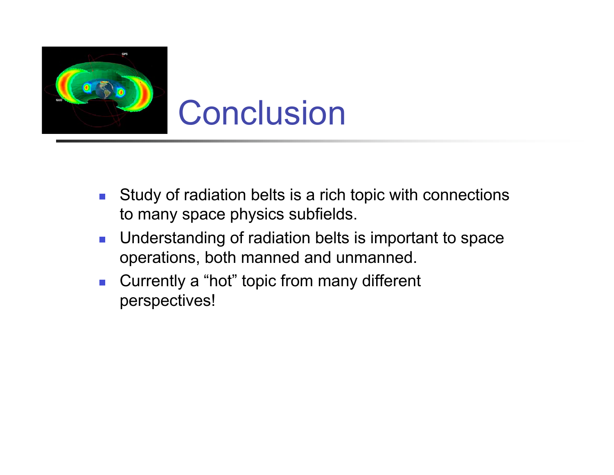

- **Study of radiation belts is a rich topic with connections** to many space physics subfields.
- **Understanding of radiation belts is important to space** operations, both manned and unmanned.
- Currently a "hot" topic from many different perspectives!